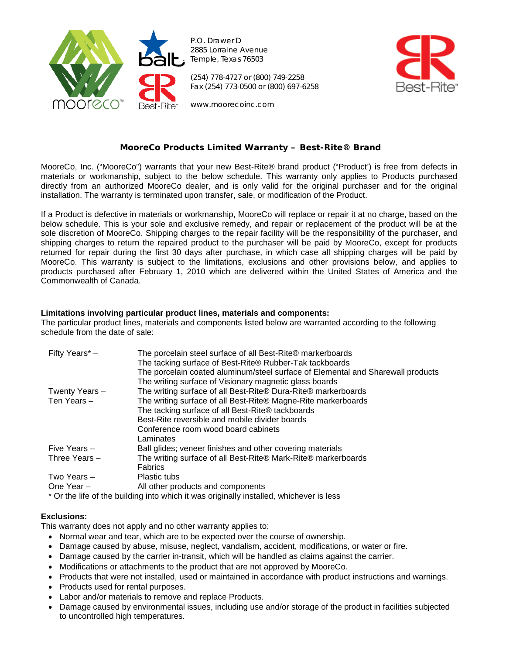

P.O. Drawer D 2885 Lorraine Avenue Temple, Texas 76503

(254) 778-4727 or (800) 749-2258 Fax (254) 773-0500 or (800) 697-6258



www.moorecoinc.com

### **MooreCo Products Limited Warranty – Best-Rite® Brand**

MooreCo, Inc. ("MooreCo") warrants that your new Best-Rite® brand product ("Product') is free from defects in materials or workmanship, subject to the below schedule. This warranty only applies to Products purchased directly from an authorized MooreCo dealer, and is only valid for the original purchaser and for the original installation. The warranty is terminated upon transfer, sale, or modification of the Product.

If a Product is defective in materials or workmanship, MooreCo will replace or repair it at no charge, based on the below schedule. This is your sole and exclusive remedy, and repair or replacement of the product will be at the sole discretion of MooreCo. Shipping charges to the repair facility will be the responsibility of the purchaser, and shipping charges to return the repaired product to the purchaser will be paid by MooreCo, except for products returned for repair during the first 30 days after purchase, in which case all shipping charges will be paid by MooreCo. This warranty is subject to the limitations, exclusions and other provisions below, and applies to products purchased after February 1, 2010 which are delivered within the United States of America and the Commonwealth of Canada.

### **Limitations involving particular product lines, materials and components:**

The particular product lines, materials and components listed below are warranted according to the following schedule from the date of sale:

| Fifty Years* -  | The porcelain steel surface of all Best-Rite® markerboards<br>The tacking surface of Best-Rite® Rubber-Tak tackboards<br>The porcelain coated aluminum/steel surface of Elemental and Sharewall products<br>The writing surface of Visionary magnetic glass boards |
|-----------------|--------------------------------------------------------------------------------------------------------------------------------------------------------------------------------------------------------------------------------------------------------------------|
| Twenty Years -  | The writing surface of all Best-Rite® Dura-Rite® markerboards                                                                                                                                                                                                      |
| Ten Years $-$   | The writing surface of all Best-Rite® Magne-Rite markerboards                                                                                                                                                                                                      |
|                 | The tacking surface of all Best-Rite® tackboards                                                                                                                                                                                                                   |
|                 | Best-Rite reversible and mobile divider boards                                                                                                                                                                                                                     |
|                 | Conference room wood board cabinets                                                                                                                                                                                                                                |
|                 | Laminates                                                                                                                                                                                                                                                          |
| Five Years -    | Ball glides; veneer finishes and other covering materials                                                                                                                                                                                                          |
| Three Years $-$ | The writing surface of all Best-Rite® Mark-Rite® markerboards                                                                                                                                                                                                      |
|                 | <b>Fabrics</b>                                                                                                                                                                                                                                                     |
| Two Years -     | Plastic tubs                                                                                                                                                                                                                                                       |
| One Year -      | All other products and components                                                                                                                                                                                                                                  |

\* Or the life of the building into which it was originally installed, whichever is less

# **Exclusions:**

This warranty does not apply and no other warranty applies to:

- Normal wear and tear, which are to be expected over the course of ownership.
- Damage caused by abuse, misuse, neglect, vandalism, accident, modifications, or water or fire.
- Damage caused by the carrier in-transit, which will be handled as claims against the carrier.
- Modifications or attachments to the product that are not approved by MooreCo.
- Products that were not installed, used or maintained in accordance with product instructions and warnings.
- Products used for rental purposes.
- Labor and/or materials to remove and replace Products.
- Damage caused by environmental issues, including use and/or storage of the product in facilities subjected to uncontrolled high temperatures.